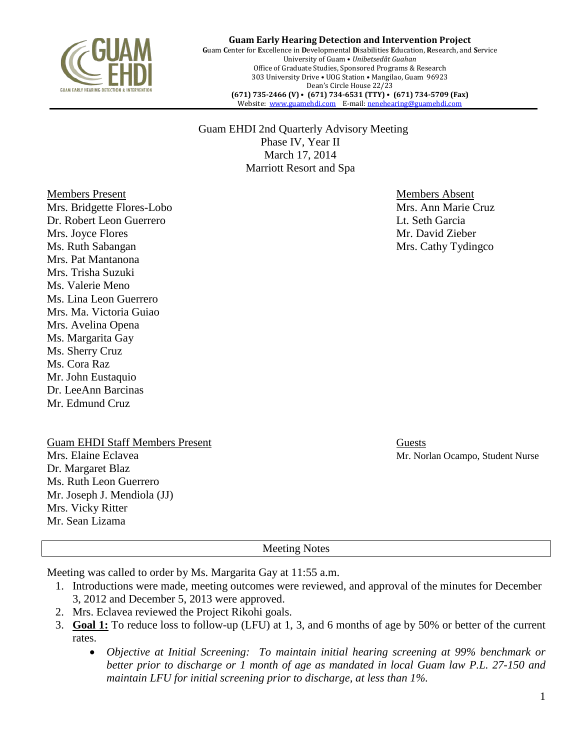

**Guam Early Hearing Detection and Intervention Project G**uam **C**enter for **E**xcellence in **D**evelopmental **D**isabilities **E**ducation, **R**esearch, and **S**ervice University of Guam • *Unibetsedåt Guahan* Office of Graduate Studies, Sponsored Programs & Research 303 University Drive • UOG Station • Mangilao, Guam 96923 Dean's Circle House 22/23 **(671) 735-2466 (V)** • **(671) 734-6531 (TTY)** • **(671) 734-5709 (Fax)** Website: [www.guamehdi.com](http://www.guamehdi.com/) E-mail[: nenehearing@guamehdi.com](mailto:nenehearing@guamehdi.com)

 Guam EHDI 2nd Quarterly Advisory Meeting Phase IV, Year II March 17, 2014 Marriott Resort and Spa

Members Present and The Members Absent Mrs. Bridgette Flores-Lobo Mrs. Ann Marie Cruz Dr. Robert Leon Guerrero Lt. Seth Garcia Mrs. Joyce Flores **Mrs.** Joyce Flores **Mrs.** 2008. The Mrs. David Zieber Mrs. David Zieber Ms. Ruth Sabangan Mrs. Cathy Tydingco Mrs. Pat Mantanona Mrs. Trisha Suzuki Ms. Valerie Meno Ms. Lina Leon Guerrero Mrs. Ma. Victoria Guiao Mrs. Avelina Opena Ms. Margarita Gay Ms. Sherry Cruz Ms. Cora Raz Mr. John Eustaquio Dr. LeeAnn Barcinas Mr. Edmund Cruz

Guam EHDI Staff Members Present Guests Mrs. Elaine Eclavea Mr. Norlan Ocampo, Student Nurse Dr. Margaret Blaz Ms. Ruth Leon Guerrero Mr. Joseph J. Mendiola (JJ) Mrs. Vicky Ritter Mr. Sean Lizama

Meeting Notes

Meeting was called to order by Ms. Margarita Gay at 11:55 a.m.

- 1. Introductions were made, meeting outcomes were reviewed, and approval of the minutes for December 3, 2012 and December 5, 2013 were approved.
- 2. Mrs. Eclavea reviewed the Project Rikohi goals.
- 3. **Goal 1:** To reduce loss to follow-up (LFU) at 1, 3, and 6 months of age by 50% or better of the current rates.
	- *Objective at Initial Screening: To maintain initial hearing screening at 99% benchmark or better prior to discharge or 1 month of age as mandated in local Guam law P.L. 27-150 and maintain LFU for initial screening prior to discharge, at less than 1%.*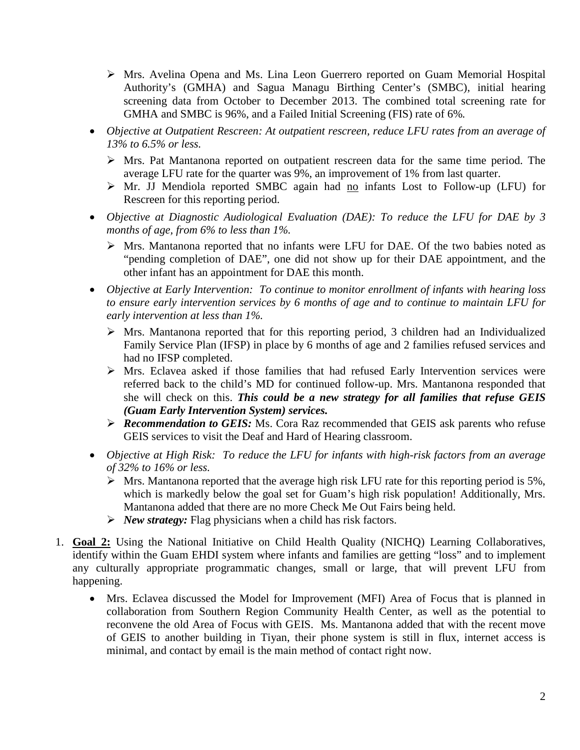- Mrs. Avelina Opena and Ms. Lina Leon Guerrero reported on Guam Memorial Hospital Authority's (GMHA) and Sagua Managu Birthing Center's (SMBC), initial hearing screening data from October to December 2013. The combined total screening rate for GMHA and SMBC is 96%, and a Failed Initial Screening (FIS) rate of 6%*.*
- *Objective at Outpatient Rescreen: At outpatient rescreen, reduce LFU rates from an average of 13% to 6.5% or less.*
	- $\triangleright$  Mrs. Pat Mantanona reported on outpatient rescreen data for the same time period. The average LFU rate for the quarter was 9%, an improvement of 1% from last quarter.
	- $\triangleright$  Mr. JJ Mendiola reported SMBC again had no infants Lost to Follow-up (LFU) for Rescreen for this reporting period.
- *Objective at Diagnostic Audiological Evaluation (DAE): To reduce the LFU for DAE by 3 months of age, from 6% to less than 1%.*
	- Mrs. Mantanona reported that no infants were LFU for DAE. Of the two babies noted as "pending completion of DAE", one did not show up for their DAE appointment, and the other infant has an appointment for DAE this month.
- *Objective at Early Intervention: To continue to monitor enrollment of infants with hearing loss to ensure early intervention services by 6 months of age and to continue to maintain LFU for early intervention at less than 1%.*
	- $\triangleright$  Mrs. Mantanona reported that for this reporting period, 3 children had an Individualized Family Service Plan (IFSP) in place by 6 months of age and 2 families refused services and had no IFSP completed.
	- $\triangleright$  Mrs. Eclavea asked if those families that had refused Early Intervention services were referred back to the child's MD for continued follow-up. Mrs. Mantanona responded that she will check on this. *This could be a new strategy for all families that refuse GEIS (Guam Early Intervention System) services.*
	- *Recommendation to GEIS:* Ms. Cora Raz recommended that GEIS ask parents who refuse GEIS services to visit the Deaf and Hard of Hearing classroom.
- *Objective at High Risk: To reduce the LFU for infants with high-risk factors from an average of 32% to 16% or less.* 
	- $\triangleright$  Mrs. Mantanona reported that the average high risk LFU rate for this reporting period is 5%, which is markedly below the goal set for Guam's high risk population! Additionally, Mrs. Mantanona added that there are no more Check Me Out Fairs being held.
	- *New strategy:* Flag physicians when a child has risk factors.
- 1. **Goal 2:** Using the National Initiative on Child Health Quality (NICHQ) Learning Collaboratives, identify within the Guam EHDI system where infants and families are getting "loss" and to implement any culturally appropriate programmatic changes, small or large, that will prevent LFU from happening.
	- Mrs. Eclavea discussed the Model for Improvement (MFI) Area of Focus that is planned in collaboration from Southern Region Community Health Center, as well as the potential to reconvene the old Area of Focus with GEIS. Ms. Mantanona added that with the recent move of GEIS to another building in Tiyan, their phone system is still in flux, internet access is minimal, and contact by email is the main method of contact right now.